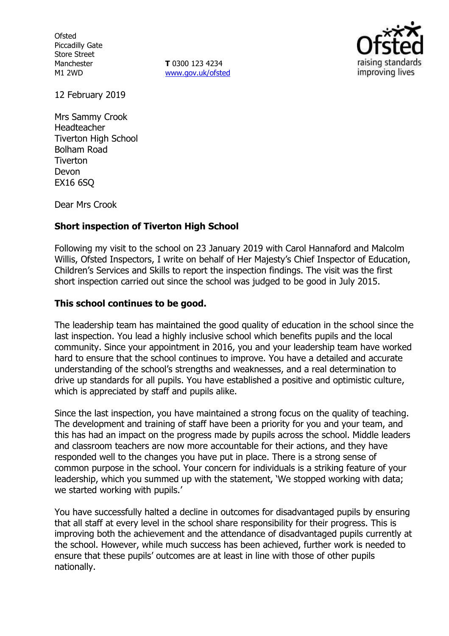**Ofsted** Piccadilly Gate Store Street Manchester M1 2WD

**T** 0300 123 4234 www.gov.uk/ofsted



12 February 2019

Mrs Sammy Crook Headteacher Tiverton High School Bolham Road **Tiverton** Devon EX16 6SQ

Dear Mrs Crook

# **Short inspection of Tiverton High School**

Following my visit to the school on 23 January 2019 with Carol Hannaford and Malcolm Willis, Ofsted Inspectors, I write on behalf of Her Majesty's Chief Inspector of Education, Children's Services and Skills to report the inspection findings. The visit was the first short inspection carried out since the school was judged to be good in July 2015.

## **This school continues to be good.**

The leadership team has maintained the good quality of education in the school since the last inspection. You lead a highly inclusive school which benefits pupils and the local community. Since your appointment in 2016, you and your leadership team have worked hard to ensure that the school continues to improve. You have a detailed and accurate understanding of the school's strengths and weaknesses, and a real determination to drive up standards for all pupils. You have established a positive and optimistic culture, which is appreciated by staff and pupils alike.

Since the last inspection, you have maintained a strong focus on the quality of teaching. The development and training of staff have been a priority for you and your team, and this has had an impact on the progress made by pupils across the school. Middle leaders and classroom teachers are now more accountable for their actions, and they have responded well to the changes you have put in place. There is a strong sense of common purpose in the school. Your concern for individuals is a striking feature of your leadership, which you summed up with the statement, 'We stopped working with data; we started working with pupils.'

You have successfully halted a decline in outcomes for disadvantaged pupils by ensuring that all staff at every level in the school share responsibility for their progress. This is improving both the achievement and the attendance of disadvantaged pupils currently at the school. However, while much success has been achieved, further work is needed to ensure that these pupils' outcomes are at least in line with those of other pupils nationally.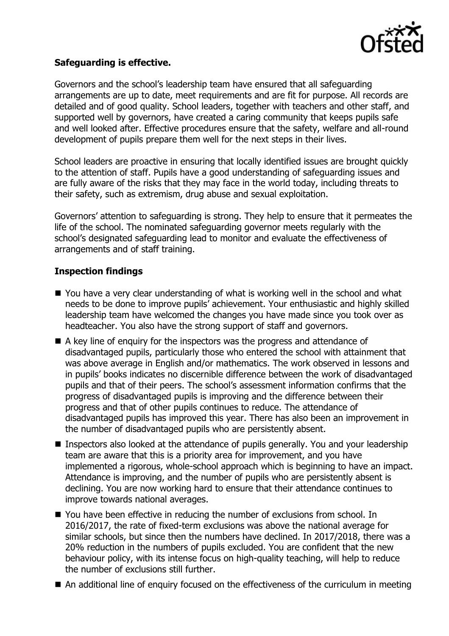

## **Safeguarding is effective.**

Governors and the school's leadership team have ensured that all safeguarding arrangements are up to date, meet requirements and are fit for purpose. All records are detailed and of good quality. School leaders, together with teachers and other staff, and supported well by governors, have created a caring community that keeps pupils safe and well looked after. Effective procedures ensure that the safety, welfare and all-round development of pupils prepare them well for the next steps in their lives.

School leaders are proactive in ensuring that locally identified issues are brought quickly to the attention of staff. Pupils have a good understanding of safeguarding issues and are fully aware of the risks that they may face in the world today, including threats to their safety, such as extremism, drug abuse and sexual exploitation.

Governors' attention to safeguarding is strong. They help to ensure that it permeates the life of the school. The nominated safeguarding governor meets regularly with the school's designated safeguarding lead to monitor and evaluate the effectiveness of arrangements and of staff training.

# **Inspection findings**

- You have a very clear understanding of what is working well in the school and what needs to be done to improve pupils' achievement. Your enthusiastic and highly skilled leadership team have welcomed the changes you have made since you took over as headteacher. You also have the strong support of staff and governors.
- A key line of enquiry for the inspectors was the progress and attendance of disadvantaged pupils, particularly those who entered the school with attainment that was above average in English and/or mathematics. The work observed in lessons and in pupils' books indicates no discernible difference between the work of disadvantaged pupils and that of their peers. The school's assessment information confirms that the progress of disadvantaged pupils is improving and the difference between their progress and that of other pupils continues to reduce. The attendance of disadvantaged pupils has improved this year. There has also been an improvement in the number of disadvantaged pupils who are persistently absent.
- **If Inspectors also looked at the attendance of pupils generally. You and your leadership** team are aware that this is a priority area for improvement, and you have implemented a rigorous, whole-school approach which is beginning to have an impact. Attendance is improving, and the number of pupils who are persistently absent is declining. You are now working hard to ensure that their attendance continues to improve towards national averages.
- You have been effective in reducing the number of exclusions from school. In 2016/2017, the rate of fixed-term exclusions was above the national average for similar schools, but since then the numbers have declined. In 2017/2018, there was a 20% reduction in the numbers of pupils excluded. You are confident that the new behaviour policy, with its intense focus on high-quality teaching, will help to reduce the number of exclusions still further.
- An additional line of enquiry focused on the effectiveness of the curriculum in meeting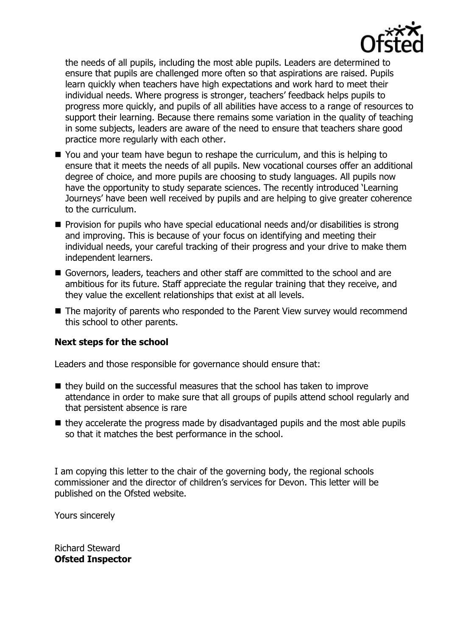

the needs of all pupils, including the most able pupils. Leaders are determined to ensure that pupils are challenged more often so that aspirations are raised. Pupils learn quickly when teachers have high expectations and work hard to meet their individual needs. Where progress is stronger, teachers' feedback helps pupils to progress more quickly, and pupils of all abilities have access to a range of resources to support their learning. Because there remains some variation in the quality of teaching in some subjects, leaders are aware of the need to ensure that teachers share good practice more regularly with each other.

- You and your team have begun to reshape the curriculum, and this is helping to ensure that it meets the needs of all pupils. New vocational courses offer an additional degree of choice, and more pupils are choosing to study languages. All pupils now have the opportunity to study separate sciences. The recently introduced 'Learning Journeys' have been well received by pupils and are helping to give greater coherence to the curriculum.
- **Provision for pupils who have special educational needs and/or disabilities is strong** and improving. This is because of your focus on identifying and meeting their individual needs, your careful tracking of their progress and your drive to make them independent learners.
- Governors, leaders, teachers and other staff are committed to the school and are ambitious for its future. Staff appreciate the regular training that they receive, and they value the excellent relationships that exist at all levels.
- The majority of parents who responded to the Parent View survey would recommend this school to other parents.

## **Next steps for the school**

Leaders and those responsible for governance should ensure that:

- $\blacksquare$  they build on the successful measures that the school has taken to improve attendance in order to make sure that all groups of pupils attend school regularly and that persistent absence is rare
- $\blacksquare$  they accelerate the progress made by disadvantaged pupils and the most able pupils so that it matches the best performance in the school.

I am copying this letter to the chair of the governing body, the regional schools commissioner and the director of children's services for Devon. This letter will be published on the Ofsted website.

Yours sincerely

Richard Steward **Ofsted Inspector**